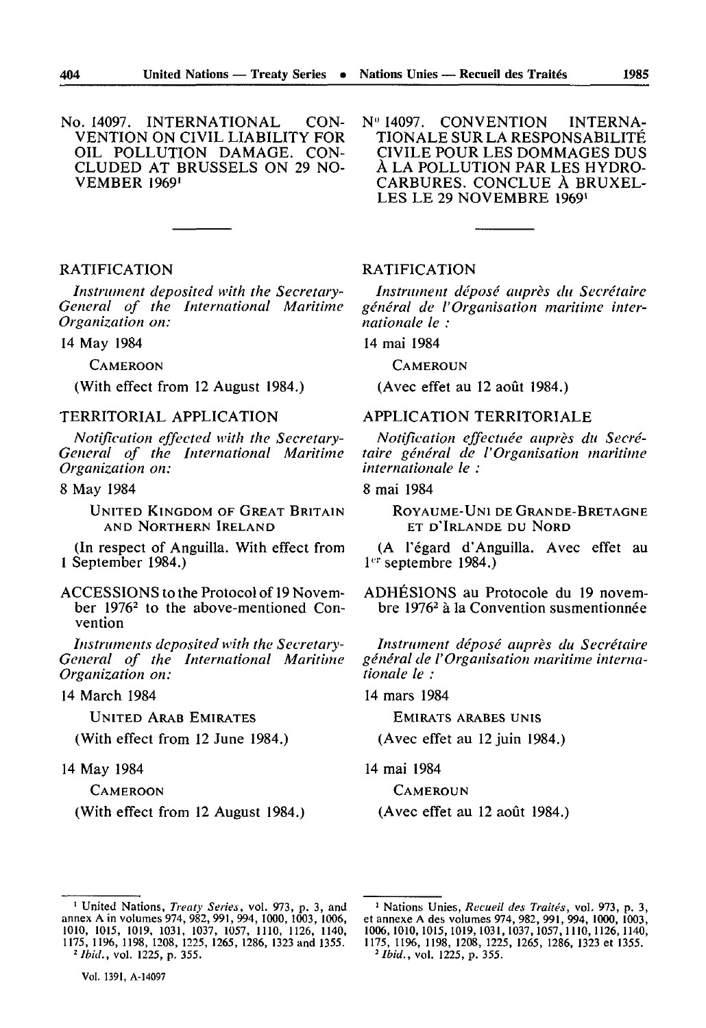N" 14097. CONVENTION INTERNA TIONALE SUR LA RESPONSABILIT TOULE POUR LES DOMMAGES DUS<br>A LA POLLUTION PAR LES HYDRO-<br>CARRIBES CONCLUE À BRIVEI CARBURES. CONCLUE À BRUXEL-LES LE 29 NOVEMBRE 1969'

### RATIFICATION

VEMBER 1969'

*Instrument deposited with the Secretary-General of the International Maritime Organization on:*

14 May 1984

**CAMEROON** 

(With effect from 12 August 1984.)

### TERRITORIAL APPLICATION

*Notification effected with the Secretary-General of the International Maritime Organization on:*

# 8 May 1984

UNITED KINGDOM OF GREAT BRITAIN AND NORTHERN IRELAND

(In respect of Anguilla. With effect from 1 September 1984.)

ACCESSIONS to the Protocol of 19 Novem ber 1976<sup>2</sup> to the above-mentioned Convention

*Instruments deposited with the Secretary-General of the International Maritime Organization on:*

14 March 1984

UNITED ARAB EMIRATES

(With effect from 12 June 1984.)

#### 14 May 1984

**CAMEROON** 

(With effect from 12 August 1984.)

# RATIFICATION

*Instrument déposé auprès du Secretaire general de l'Organisation maritime inter nationale le :*

14 mai 1984

**CAMEROUN** 

(Avec effet au 12 août 1984.)

# APPLICATION TERRITORIALE

*Notification effectuée auprès du Secré taire général de l'Organisation maritime internationale le :*

### 8 mai 1984

ROYAUME-UNI DE GRANDE-BRETAGNE ET D'IRLANDE DU NORD

(A l'égard d'Anguilla. Avec effet au  $1<sup>cr</sup>$  septembre 1984.)

ADHESIONS au Protocole du 19 novem bre 1976<sup>2</sup> à la Convention susmentionnée

*Instrument déposé auprès du Secrétaire général de l'Organisation maritime interna tionale le :*

14 mars 1984

EMIRATS ARABES UNIS

(Avec effet au 12 juin 1984.)

14 mai 1984

**CAMEROUN** 

(Avec effet au 12 août 1984.)

*2 Ibid.,* vol. 1225, p. 355.

<sup>1</sup> United Nations, *Treaty Series,* vol. 973, p. 3, and annex A in volumes 974, 982, 991, 994, 1000, 1003, 1006, 1010, 1015, 1019, 1031, 1037, 1057, 1110, 1126, 1140, 1175, 1196, 1198, 1208, 1225, 1265, 1286, 1323 and 1355. <sup>2</sup> *Ibid.*, vol. 1225, p. 355.

<sup>1</sup> Nations Unies, *Recueil des Traités,* vol. 973, p. 3, et annexe A des volumes 974, 982, 991, 994, 1000, 1003, 1006,1010,1015,1019,1031,1037,1057,1110,1126,1140, 1175, 11%, 1198, 1208, 1225, 1265, 1286, 1323 et 1355.